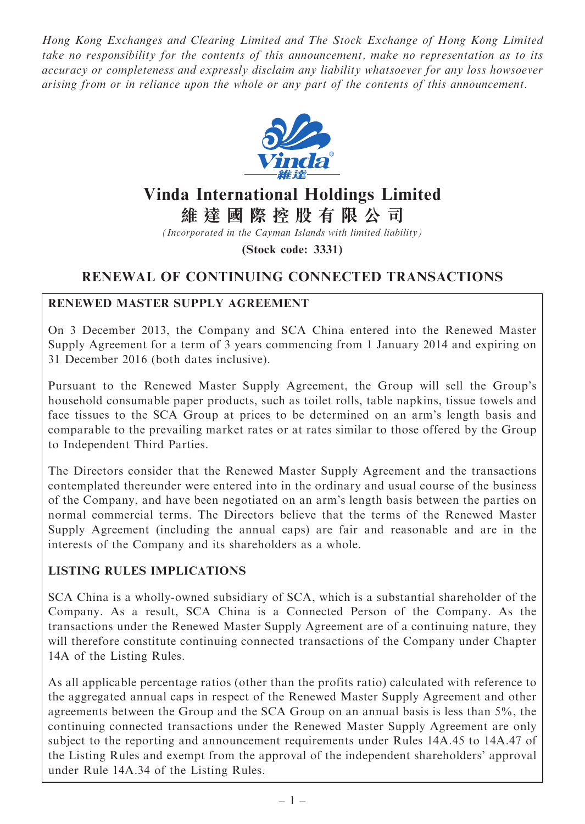Hong Kong Exchanges and Clearing Limited and The Stock Exchange of Hong Kong Limited take no responsibility for the contents of this announcement, make no representation as to its accuracy or completeness and expressly disclaim any liability whatsoever for any loss howsoever arising from or in reliance upon the whole or any part of the contents of this announcement.



# Vinda International Holdings Limited

維 達 國 際 控 股 有 限 公 司

(Incorporated in the Cayman Islands with limited liability)

(Stock code: 3331)

## RENEWAL OF CONTINUING CONNECTED TRANSACTIONS

## RENEWED MASTER SUPPLY AGREEMENT

On 3 December 2013, the Company and SCA China entered into the Renewed Master Supply Agreement for a term of 3 years commencing from 1 January 2014 and expiring on 31 December 2016 (both dates inclusive).

Pursuant to the Renewed Master Supply Agreement, the Group will sell the Group's household consumable paper products, such as toilet rolls, table napkins, tissue towels and face tissues to the SCA Group at prices to be determined on an arm's length basis and comparable to the prevailing market rates or at rates similar to those offered by the Group to Independent Third Parties.

The Directors consider that the Renewed Master Supply Agreement and the transactions contemplated thereunder were entered into in the ordinary and usual course of the business of the Company, and have been negotiated on an arm's length basis between the parties on normal commercial terms. The Directors believe that the terms of the Renewed Master Supply Agreement (including the annual caps) are fair and reasonable and are in the interests of the Company and its shareholders as a whole.

## LISTING RULES IMPLICATIONS

SCA China is a wholly-owned subsidiary of SCA, which is a substantial shareholder of the Company. As a result, SCA China is a Connected Person of the Company. As the transactions under the Renewed Master Supply Agreement are of a continuing nature, they will therefore constitute continuing connected transactions of the Company under Chapter 14A of the Listing Rules.

As all applicable percentage ratios (other than the profits ratio) calculated with reference to the aggregated annual caps in respect of the Renewed Master Supply Agreement and other agreements between the Group and the SCA Group on an annual basis is less than 5%, the continuing connected transactions under the Renewed Master Supply Agreement are only subject to the reporting and announcement requirements under Rules 14A.45 to 14A.47 of the Listing Rules and exempt from the approval of the independent shareholders' approval under Rule 14A.34 of the Listing Rules.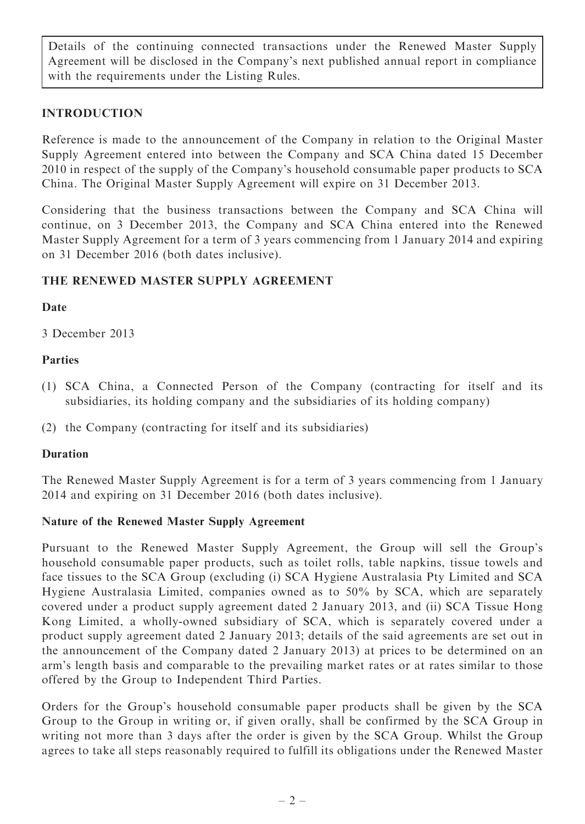Details of the continuing connected transactions under the Renewed Master Supply Agreement will be disclosed in the Company's next published annual report in compliance with the requirements under the Listing Rules.

## INTRODUCTION

Reference is made to the announcement of the Company in relation to the Original Master Supply Agreement entered into between the Company and SCA China dated 15 December 2010 in respect of the supply of the Company's household consumable paper products to SCA China. The Original Master Supply Agreement will expire on 31 December 2013.

Considering that the business transactions between the Company and SCA China will continue, on 3 December 2013, the Company and SCA China entered into the Renewed Master Supply Agreement for a term of 3 years commencing from 1 January 2014 and expiring on 31 December 2016 (both dates inclusive).

## THE RENEWED MASTER SUPPLY AGREEMENT

## Date

3 December 2013

#### Parties

- (1) SCA China, a Connected Person of the Company (contracting for itself and its subsidiaries, its holding company and the subsidiaries of its holding company)
- (2) the Company (contracting for itself and its subsidiaries)

#### Duration

The Renewed Master Supply Agreement is for a term of 3 years commencing from 1 January 2014 and expiring on 31 December 2016 (both dates inclusive).

#### Nature of the Renewed Master Supply Agreement

Pursuant to the Renewed Master Supply Agreement, the Group will sell the Group's household consumable paper products, such as toilet rolls, table napkins, tissue towels and face tissues to the SCA Group (excluding (i) SCA Hygiene Australasia Pty Limited and SCA Hygiene Australasia Limited, companies owned as to 50% by SCA, which are separately covered under a product supply agreement dated 2 January 2013, and (ii) SCA Tissue Hong Kong Limited, a wholly-owned subsidiary of SCA, which is separately covered under a product supply agreement dated 2 January 2013; details of the said agreements are set out in the announcement of the Company dated 2 January 2013) at prices to be determined on an arm's length basis and comparable to the prevailing market rates or at rates similar to those offered by the Group to Independent Third Parties.

Orders for the Group's household consumable paper products shall be given by the SCA Group to the Group in writing or, if given orally, shall be confirmed by the SCA Group in writing not more than 3 days after the order is given by the SCA Group. Whilst the Group agrees to take all steps reasonably required to fulfill its obligations under the Renewed Master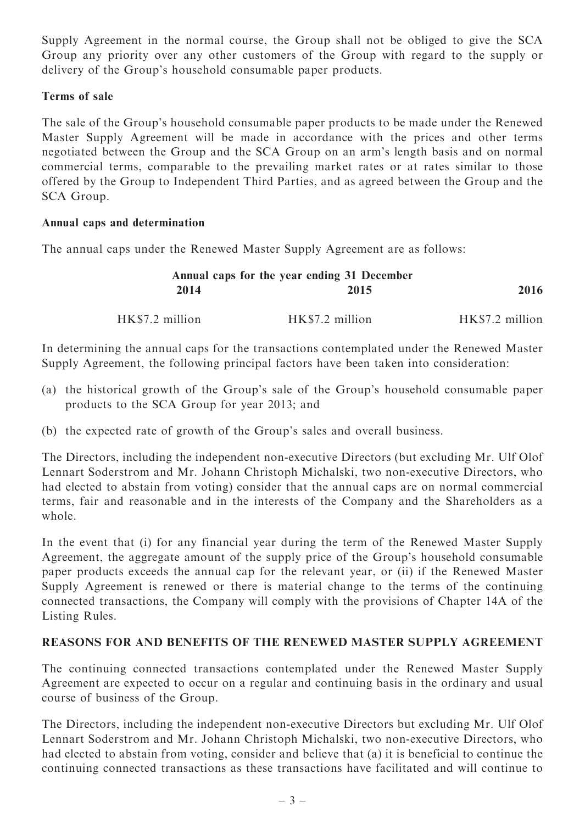Supply Agreement in the normal course, the Group shall not be obliged to give the SCA Group any priority over any other customers of the Group with regard to the supply or delivery of the Group's household consumable paper products.

## Terms of sale

The sale of the Group's household consumable paper products to be made under the Renewed Master Supply Agreement will be made in accordance with the prices and other terms negotiated between the Group and the SCA Group on an arm's length basis and on normal commercial terms, comparable to the prevailing market rates or at rates similar to those offered by the Group to Independent Third Parties, and as agreed between the Group and the SCA Group.

#### Annual caps and determination

The annual caps under the Renewed Master Supply Agreement are as follows:

|                 | Annual caps for the year ending 31 December |                 |  |
|-----------------|---------------------------------------------|-----------------|--|
| 2016            | 2015                                        | 2014            |  |
| HK\$7.2 million | HK\$7.2 million                             | HK\$7.2 million |  |

In determining the annual caps for the transactions contemplated under the Renewed Master Supply Agreement, the following principal factors have been taken into consideration:

- (a) the historical growth of the Group's sale of the Group's household consumable paper products to the SCA Group for year 2013; and
- (b) the expected rate of growth of the Group's sales and overall business.

The Directors, including the independent non-executive Directors (but excluding Mr. Ulf Olof Lennart Soderstrom and Mr. Johann Christoph Michalski, two non-executive Directors, who had elected to abstain from voting) consider that the annual caps are on normal commercial terms, fair and reasonable and in the interests of the Company and the Shareholders as a whole.

In the event that (i) for any financial year during the term of the Renewed Master Supply Agreement, the aggregate amount of the supply price of the Group's household consumable paper products exceeds the annual cap for the relevant year, or (ii) if the Renewed Master Supply Agreement is renewed or there is material change to the terms of the continuing connected transactions, the Company will comply with the provisions of Chapter 14A of the Listing Rules.

## REASONS FOR AND BENEFITS OF THE RENEWED MASTER SUPPLY AGREEMENT

The continuing connected transactions contemplated under the Renewed Master Supply Agreement are expected to occur on a regular and continuing basis in the ordinary and usual course of business of the Group.

The Directors, including the independent non-executive Directors but excluding Mr. Ulf Olof Lennart Soderstrom and Mr. Johann Christoph Michalski, two non-executive Directors, who had elected to abstain from voting, consider and believe that (a) it is beneficial to continue the continuing connected transactions as these transactions have facilitated and will continue to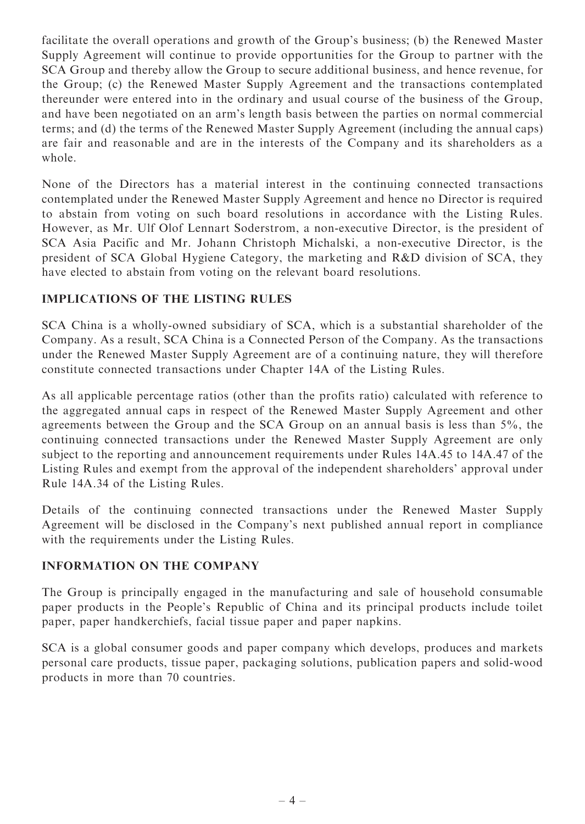facilitate the overall operations and growth of the Group's business; (b) the Renewed Master Supply Agreement will continue to provide opportunities for the Group to partner with the SCA Group and thereby allow the Group to secure additional business, and hence revenue, for the Group; (c) the Renewed Master Supply Agreement and the transactions contemplated thereunder were entered into in the ordinary and usual course of the business of the Group, and have been negotiated on an arm's length basis between the parties on normal commercial terms; and (d) the terms of the Renewed Master Supply Agreement (including the annual caps) are fair and reasonable and are in the interests of the Company and its shareholders as a whole.

None of the Directors has a material interest in the continuing connected transactions contemplated under the Renewed Master Supply Agreement and hence no Director is required to abstain from voting on such board resolutions in accordance with the Listing Rules. However, as Mr. Ulf Olof Lennart Soderstrom, a non-executive Director, is the president of SCA Asia Pacific and Mr. Johann Christoph Michalski, a non-executive Director, is the president of SCA Global Hygiene Category, the marketing and R&D division of SCA, they have elected to abstain from voting on the relevant board resolutions.

## IMPLICATIONS OF THE LISTING RULES

SCA China is a wholly-owned subsidiary of SCA, which is a substantial shareholder of the Company. As a result, SCA China is a Connected Person of the Company. As the transactions under the Renewed Master Supply Agreement are of a continuing nature, they will therefore constitute connected transactions under Chapter 14A of the Listing Rules.

As all applicable percentage ratios (other than the profits ratio) calculated with reference to the aggregated annual caps in respect of the Renewed Master Supply Agreement and other agreements between the Group and the SCA Group on an annual basis is less than 5%, the continuing connected transactions under the Renewed Master Supply Agreement are only subject to the reporting and announcement requirements under Rules 14A.45 to 14A.47 of the Listing Rules and exempt from the approval of the independent shareholders' approval under Rule 14A.34 of the Listing Rules.

Details of the continuing connected transactions under the Renewed Master Supply Agreement will be disclosed in the Company's next published annual report in compliance with the requirements under the Listing Rules.

## INFORMATION ON THE COMPANY

The Group is principally engaged in the manufacturing and sale of household consumable paper products in the People's Republic of China and its principal products include toilet paper, paper handkerchiefs, facial tissue paper and paper napkins.

SCA is a global consumer goods and paper company which develops, produces and markets personal care products, tissue paper, packaging solutions, publication papers and solid-wood products in more than 70 countries.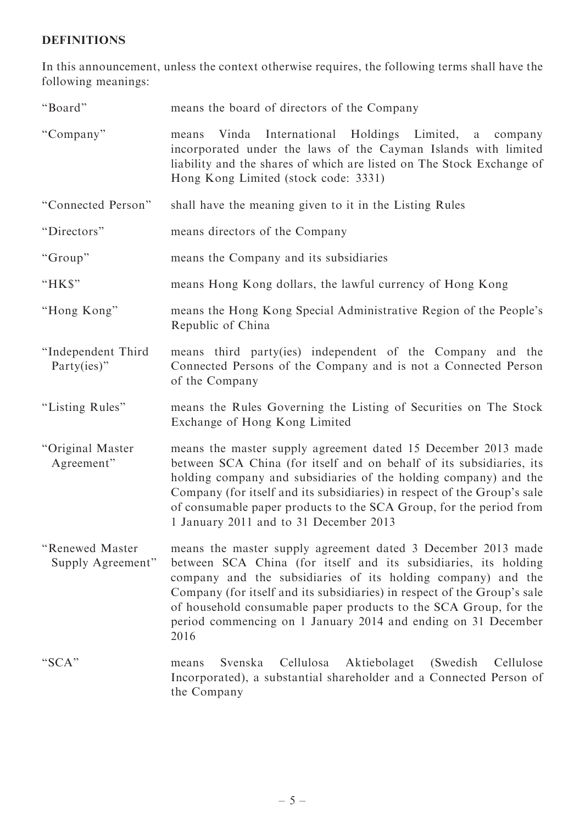# DEFINITIONS

In this announcement, unless the context otherwise requires, the following terms shall have the following meanings:

| "Board"                              | means the board of directors of the Company                                                                                                                                                                                                                                                                                                                                                                              |
|--------------------------------------|--------------------------------------------------------------------------------------------------------------------------------------------------------------------------------------------------------------------------------------------------------------------------------------------------------------------------------------------------------------------------------------------------------------------------|
| "Company"                            | Vinda International Holdings Limited,<br>a a<br>company<br>means<br>incorporated under the laws of the Cayman Islands with limited<br>liability and the shares of which are listed on The Stock Exchange of<br>Hong Kong Limited (stock code: 3331)                                                                                                                                                                      |
| "Connected Person"                   | shall have the meaning given to it in the Listing Rules                                                                                                                                                                                                                                                                                                                                                                  |
| "Directors"                          | means directors of the Company                                                                                                                                                                                                                                                                                                                                                                                           |
| "Group"                              | means the Company and its subsidiaries                                                                                                                                                                                                                                                                                                                                                                                   |
| " $HK$"$                             | means Hong Kong dollars, the lawful currency of Hong Kong                                                                                                                                                                                                                                                                                                                                                                |
| "Hong Kong"                          | means the Hong Kong Special Administrative Region of the People's<br>Republic of China                                                                                                                                                                                                                                                                                                                                   |
| "Independent Third<br>Party(ies)"    | means third party(ies) independent of the Company and the<br>Connected Persons of the Company and is not a Connected Person<br>of the Company                                                                                                                                                                                                                                                                            |
| "Listing Rules"                      | means the Rules Governing the Listing of Securities on The Stock<br>Exchange of Hong Kong Limited                                                                                                                                                                                                                                                                                                                        |
| "Original Master<br>Agreement"       | means the master supply agreement dated 15 December 2013 made<br>between SCA China (for itself and on behalf of its subsidiaries, its<br>holding company and subsidiaries of the holding company) and the<br>Company (for itself and its subsidiaries) in respect of the Group's sale<br>of consumable paper products to the SCA Group, for the period from<br>1 January 2011 and to 31 December 2013                    |
| "Renewed Master<br>Supply Agreement" | means the master supply agreement dated 3 December 2013 made<br>between SCA China (for itself and its subsidiaries, its holding<br>company and the subsidiaries of its holding company) and the<br>Company (for itself and its subsidiaries) in respect of the Group's sale<br>of household consumable paper products to the SCA Group, for the<br>period commencing on 1 January 2014 and ending on 31 December<br>2016 |
| "SCA"                                | Svenska<br>Cellulosa<br>Aktiebolaget<br>(Swedish)<br>Cellulose<br>means<br>Incorporated), a substantial shareholder and a Connected Person of<br>the Company                                                                                                                                                                                                                                                             |